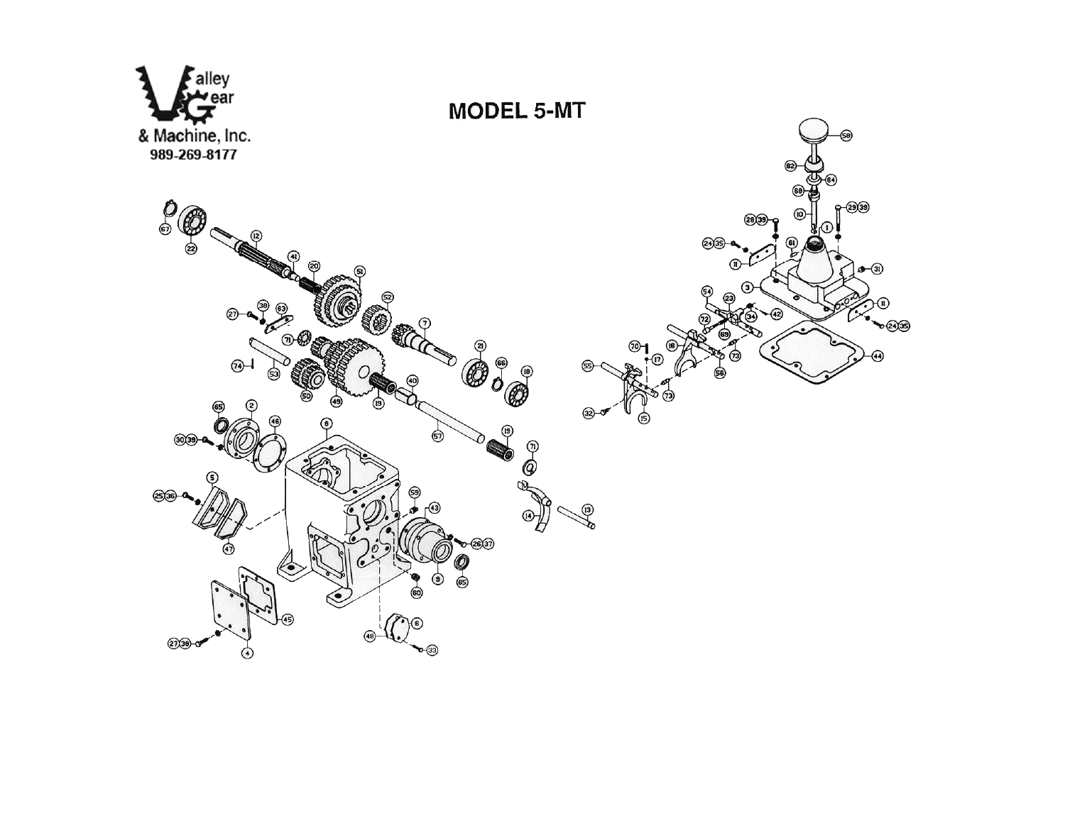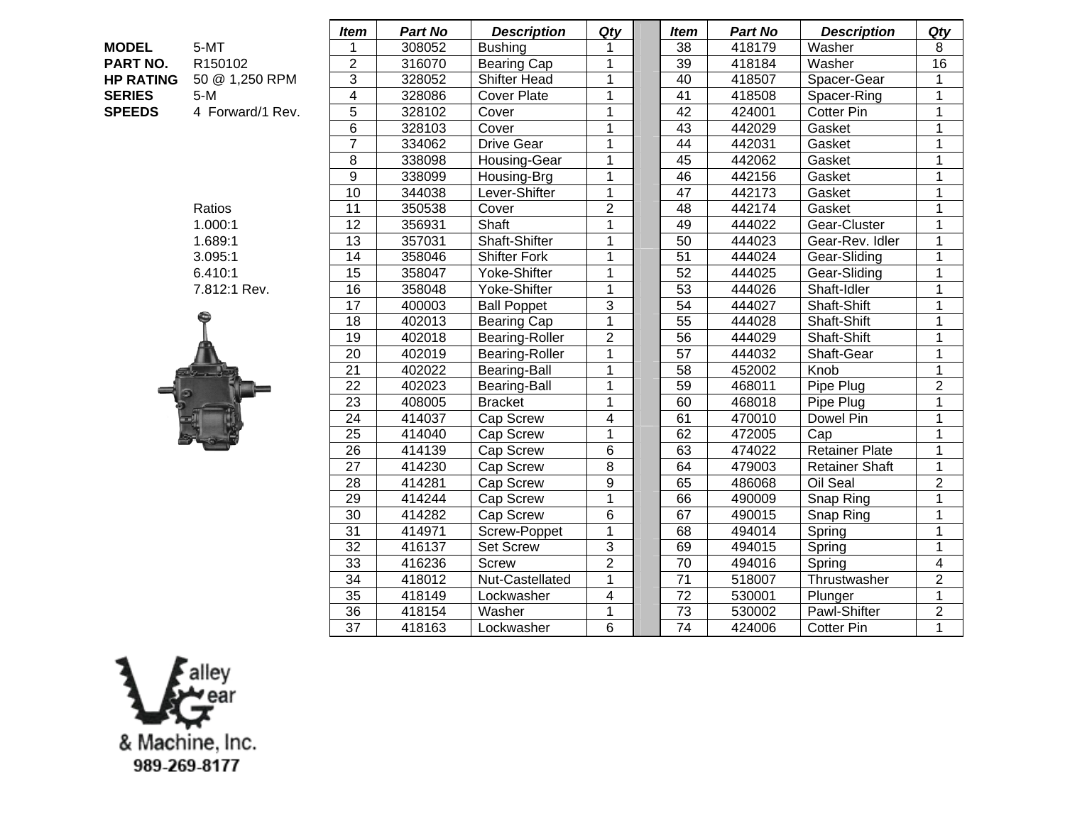| <b>MODEL</b>     | 5-MT                |
|------------------|---------------------|
| <b>PART NO.</b>  | R <sub>150102</sub> |
| <b>HP RATING</b> | 50 @ 1,250 RPI      |
| <b>SERIES</b>    | 5-M                 |
| <b>SPEEDS</b>    | 4 Forward/1 Re      |



|                  |                  | <b>Item</b>     | <b>Part No</b> | <b>Description</b>  | Qty                     | <b>Item</b>     | <b>Part No</b> | <b>Description</b>    | Qty            |
|------------------|------------------|-----------------|----------------|---------------------|-------------------------|-----------------|----------------|-----------------------|----------------|
| <b>MODEL</b>     | 5-MT             |                 | 308052         | <b>Bushing</b>      |                         | 38              | 418179         | Washer                | 8              |
| PART NO.         | R150102          | $\overline{c}$  | 316070         | <b>Bearing Cap</b>  | 1                       | 39              | 418184         | Washer                | 16             |
| <b>HP RATING</b> | 50 @ 1,250 RPM   | 3               | 328052         | <b>Shifter Head</b> | 1                       | 40              | 418507         | Spacer-Gear           | $\mathbf 1$    |
| <b>SERIES</b>    | $5-M$            | 4               | 328086         | <b>Cover Plate</b>  | $\mathbf{1}$            | 41              | 418508         | Spacer-Ring           | $\mathbf 1$    |
| <b>SPEEDS</b>    | 4 Forward/1 Rev. | 5               | 328102         | Cover               | $\mathbf 1$             | 42              | 424001         | <b>Cotter Pin</b>     | 1              |
|                  |                  | 6               | 328103         | Cover               | $\mathbf{1}$            | 43              | 442029         | Gasket                | 1              |
|                  |                  | $\overline{7}$  | 334062         | <b>Drive Gear</b>   | $\overline{1}$          | 44              | 442031         | Gasket                | $\mathbf{1}$   |
|                  |                  | 8               | 338098         | Housing-Gear        | $\overline{1}$          | 45              | 442062         | Gasket                | 1              |
|                  |                  | 9               | 338099         | Housing-Brg         | $\mathbf{1}$            | 46              | 442156         | Gasket                | 1              |
|                  |                  | 10              | 344038         | Lever-Shifter       | $\mathbf 1$             | 47              | 442173         | Gasket                | 1              |
|                  | Ratios           | 11              | 350538         | Cover               | $\overline{2}$          | 48              | 442174         | Gasket                | $\mathbf{1}$   |
|                  | 1.000:1          | 12              | 356931         | Shaft               | $\overline{1}$          | 49              | 444022         | Gear-Cluster          | 1              |
|                  | 1.689:1          | 13              | 357031         | Shaft-Shifter       | 1                       | 50              | 444023         | Gear-Rev. Idler       | 1              |
|                  | 3.095:1          | $\overline{14}$ | 358046         | <b>Shifter Fork</b> | $\overline{1}$          | 51              | 444024         | Gear-Sliding          | $\mathbf 1$    |
|                  | 6.410:1          | 15              | 358047         | Yoke-Shifter        | $\mathbf{1}$            | 52              | 444025         | Gear-Sliding          | $\mathbf 1$    |
|                  | 7.812:1 Rev.     | 16              | 358048         | Yoke-Shifter        | $\mathbf{1}$            | 53              | 444026         | Shaft-Idler           | $\mathbf 1$    |
|                  |                  | 17              | 400003         | <b>Ball Poppet</b>  | $\overline{3}$          | 54              | 444027         | Shaft-Shift           | $\mathbf 1$    |
|                  |                  | 18              | 402013         | <b>Bearing Cap</b>  | $\overline{1}$          | 55              | 444028         | Shaft-Shift           | 1              |
|                  |                  | 19              | 402018         | Bearing-Roller      | $\overline{2}$          | 56              | 444029         | Shaft-Shift           | 1              |
|                  |                  | $\overline{20}$ | 402019         | Bearing-Roller      | $\mathbf 1$             | 57              | 444032         | Shaft-Gear            | $\mathbf 1$    |
|                  |                  | 21              | 402022         | Bearing-Ball        | $\mathbf{1}$            | 58              | 452002         | Knob                  | $\mathbf{1}$   |
|                  |                  | 22              | 402023         | Bearing-Ball        | 1                       | 59              | 468011         | Pipe Plug             | $\overline{2}$ |
|                  |                  | 23              | 408005         | <b>Bracket</b>      | 1                       | 60              | 468018         | Pipe Plug             | $\mathbf{1}$   |
|                  |                  | 24              | 414037         | Cap Screw           | $\overline{\mathbf{4}}$ | 61              | 470010         | Dowel Pin             | $\mathbf{1}$   |
|                  |                  | $\overline{25}$ | 414040         | Cap Screw           | $\mathbf 1$             | 62              | 472005         | Cap                   | $\mathbf{1}$   |
|                  |                  | $\overline{26}$ | 414139         | Cap Screw           | 6                       | 63              | 474022         | <b>Retainer Plate</b> | $\mathbf 1$    |
|                  |                  | $\overline{27}$ | 414230         | Cap Screw           | 8                       | 64              | 479003         | <b>Retainer Shaft</b> | 1              |
|                  |                  | $\overline{28}$ | 414281         | Cap Screw           | $\mathsf 9$             | 65              | 486068         | Oil Seal              | $\overline{2}$ |
|                  |                  | $\overline{29}$ | 414244         | Cap Screw           | $\overline{1}$          | 66              | 490009         | Snap Ring             | $\mathbf{1}$   |
|                  |                  | 30              | 414282         | Cap Screw           | 6                       | 67              | 490015         | Snap Ring             | $\mathbf{1}$   |
|                  |                  | $\overline{31}$ | 414971         | Screw-Poppet        | $\mathbf 1$             | 68              | 494014         | Spring                | $\mathbf{1}$   |
|                  |                  | 32              | 416137         | <b>Set Screw</b>    | $\overline{3}$          | 69              | 494015         | Spring                | $\mathbf{1}$   |
|                  |                  | 33              | 416236         | <b>Screw</b>        | $\overline{2}$          | $\overline{70}$ | 494016         | Spring                | 4              |
|                  |                  | $\overline{34}$ | 418012         | Nut-Castellated     | $\mathbf 1$             | $\overline{71}$ | 518007         | Thrustwasher          | $\overline{2}$ |
|                  |                  | 35              | 418149         | Lockwasher          | $\overline{\mathbf{4}}$ | 72              | 530001         | Plunger               | $\mathbf{1}$   |
|                  |                  | $\overline{36}$ | 418154         | Washer              | $\mathbf 1$             | $\overline{73}$ | 530002         | Pawl-Shifter          | $\overline{2}$ |
|                  |                  | $\overline{37}$ | 418163         | Lockwasher          | 6                       | $\overline{74}$ | 424006         | <b>Cotter Pin</b>     | $\overline{1}$ |